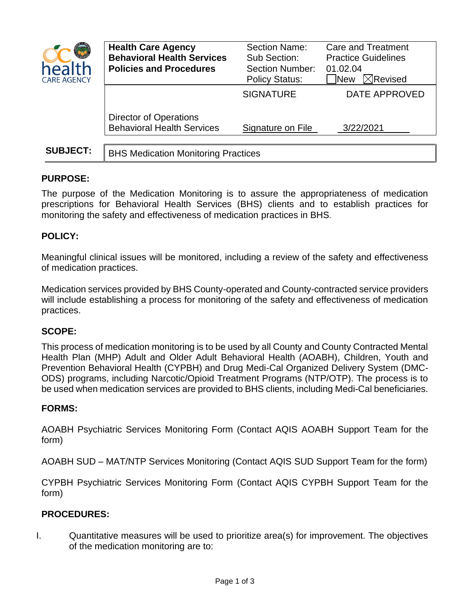| hea<br><b>CARE AGENCY</b> | <b>Health Care Agency</b><br><b>Behavioral Health Services</b><br><b>Policies and Procedures</b> | Section Name:<br>Sub Section:<br><b>Section Number:</b><br><b>Policy Status:</b> | <b>Care and Treatment</b><br><b>Practice Guidelines</b><br>01.02.04<br>$\boxtimes$ Revised<br><b>New</b> |
|---------------------------|--------------------------------------------------------------------------------------------------|----------------------------------------------------------------------------------|----------------------------------------------------------------------------------------------------------|
|                           |                                                                                                  | <b>SIGNATURE</b>                                                                 | DATE APPROVED                                                                                            |
|                           | <b>Director of Operations</b><br><b>Behavioral Health Services</b>                               | Signature on File                                                                | 3/22/2021                                                                                                |
| <b>SUBJECT:</b>           | <b>BHS Medication Monitoring Practices</b>                                                       |                                                                                  |                                                                                                          |

# **PURPOSE:**

The purpose of the Medication Monitoring is to assure the appropriateness of medication prescriptions for Behavioral Health Services (BHS) clients and to establish practices for monitoring the safety and effectiveness of medication practices in BHS.

## **POLICY:**

Meaningful clinical issues will be monitored, including a review of the safety and effectiveness of medication practices.

Medication services provided by BHS County-operated and County-contracted service providers will include establishing a process for monitoring of the safety and effectiveness of medication practices.

## **SCOPE:**

This process of medication monitoring is to be used by all County and County Contracted Mental Health Plan (MHP) Adult and Older Adult Behavioral Health (AOABH), Children, Youth and Prevention Behavioral Health (CYPBH) and Drug Medi-Cal Organized Delivery System (DMC-ODS) programs, including Narcotic/Opioid Treatment Programs (NTP/OTP). The process is to be used when medication services are provided to BHS clients, including Medi-Cal beneficiaries.

## **FORMS:**

AOABH Psychiatric Services Monitoring Form (Contact AQIS AOABH Support Team for the form)

AOABH SUD – MAT/NTP Services Monitoring (Contact AQIS SUD Support Team for the form)

CYPBH Psychiatric Services Monitoring Form (Contact AQIS CYPBH Support Team for the form)

## **PROCEDURES:**

I. Quantitative measures will be used to prioritize area(s) for improvement. The objectives of the medication monitoring are to: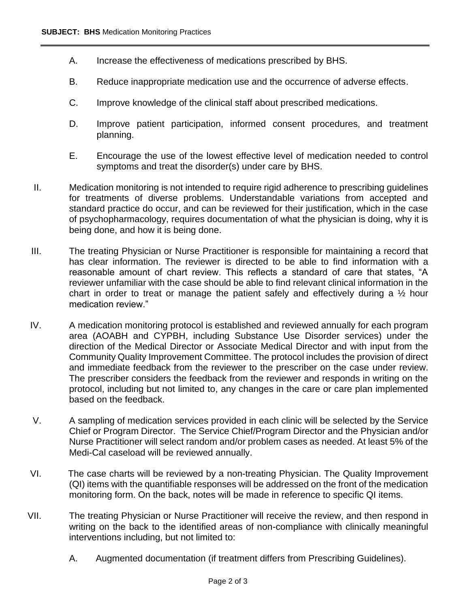- A. Increase the effectiveness of medications prescribed by BHS.
- B. Reduce inappropriate medication use and the occurrence of adverse effects.
- C. Improve knowledge of the clinical staff about prescribed medications.
- D. Improve patient participation, informed consent procedures, and treatment planning.
- E. Encourage the use of the lowest effective level of medication needed to control symptoms and treat the disorder(s) under care by BHS.
- II. Medication monitoring is not intended to require rigid adherence to prescribing guidelines for treatments of diverse problems. Understandable variations from accepted and standard practice do occur, and can be reviewed for their justification, which in the case of psychopharmacology, requires documentation of what the physician is doing, why it is being done, and how it is being done.
- III. The treating Physician or Nurse Practitioner is responsible for maintaining a record that has clear information. The reviewer is directed to be able to find information with a reasonable amount of chart review. This reflects a standard of care that states, "A reviewer unfamiliar with the case should be able to find relevant clinical information in the chart in order to treat or manage the patient safely and effectively during a  $\frac{1}{2}$  hour medication review."
- IV. A medication monitoring protocol is established and reviewed annually for each program area (AOABH and CYPBH, including Substance Use Disorder services) under the direction of the Medical Director or Associate Medical Director and with input from the Community Quality Improvement Committee. The protocol includes the provision of direct and immediate feedback from the reviewer to the prescriber on the case under review. The prescriber considers the feedback from the reviewer and responds in writing on the protocol, including but not limited to, any changes in the care or care plan implemented based on the feedback.
- V. A sampling of medication services provided in each clinic will be selected by the Service Chief or Program Director. The Service Chief/Program Director and the Physician and/or Nurse Practitioner will select random and/or problem cases as needed. At least 5% of the Medi-Cal caseload will be reviewed annually.
- VI. The case charts will be reviewed by a non-treating Physician. The Quality Improvement (QI) items with the quantifiable responses will be addressed on the front of the medication monitoring form. On the back, notes will be made in reference to specific QI items.
- VII. The treating Physician or Nurse Practitioner will receive the review, and then respond in writing on the back to the identified areas of non-compliance with clinically meaningful interventions including, but not limited to:
	- A. Augmented documentation (if treatment differs from Prescribing Guidelines).